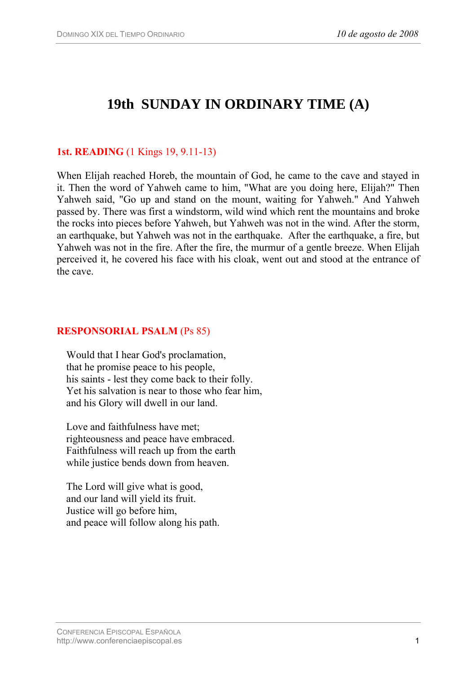# **19th SUNDAY IN ORDINARY TIME (A)**

### **1st. READING** (1 Kings 19, 9.11-13)

When Elijah reached Horeb, the mountain of God, he came to the cave and stayed in it. Then the word of Yahweh came to him, "What are you doing here, Elijah?" Then Yahweh said, "Go up and stand on the mount, waiting for Yahweh." And Yahweh passed by. There was first a windstorm, wild wind which rent the mountains and broke the rocks into pieces before Yahweh, but Yahweh was not in the wind. After the storm, an earthquake, but Yahweh was not in the earthquake. After the earthquake, a fire, but Yahweh was not in the fire. After the fire, the murmur of a gentle breeze. When Elijah perceived it, he covered his face with his cloak, went out and stood at the entrance of the cave.

#### **RESPONSORIAL PSALM** (Ps 85)

Would that I hear God's proclamation, that he promise peace to his people, his saints - lest they come back to their folly. Yet his salvation is near to those who fear him, and his Glory will dwell in our land.

Love and faithfulness have met; righteousness and peace have embraced. Faithfulness will reach up from the earth while justice bends down from heaven.

The Lord will give what is good, and our land will yield its fruit. Justice will go before him, and peace will follow along his path.